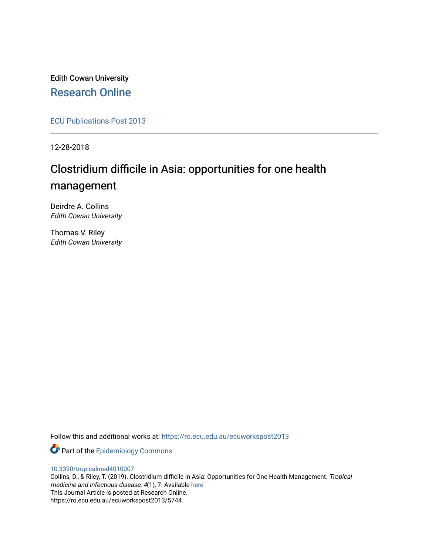Edith Cowan University [Research Online](https://ro.ecu.edu.au/) 

[ECU Publications Post 2013](https://ro.ecu.edu.au/ecuworkspost2013)

12-28-2018

# Clostridium difficile in Asia: opportunities for one health management

Deirdre A. Collins Edith Cowan University

Thomas V. Riley Edith Cowan University

Follow this and additional works at: [https://ro.ecu.edu.au/ecuworkspost2013](https://ro.ecu.edu.au/ecuworkspost2013?utm_source=ro.ecu.edu.au%2Fecuworkspost2013%2F5744&utm_medium=PDF&utm_campaign=PDFCoverPages) 

Part of the [Epidemiology Commons](http://network.bepress.com/hgg/discipline/740?utm_source=ro.ecu.edu.au%2Fecuworkspost2013%2F5744&utm_medium=PDF&utm_campaign=PDFCoverPages) 

[10.3390/tropicalmed4010007](http://dx.doi.org/10.3390/tropicalmed4010007) 

Collins, D., & Riley, T. (2019). Clostridium difficile in Asia: Opportunities for One Health Management. Tropical medicine and infectious disease, 4(1), 7. Available [here](https://doi.org/10.3390/tropicalmed4010007) This Journal Article is posted at Research Online. https://ro.ecu.edu.au/ecuworkspost2013/5744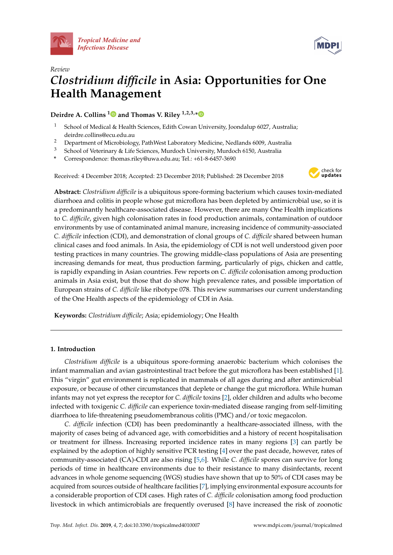



# *Review Clostridium difficile* **in Asia: Opportunities for One Health Management**

# **Deirdre A. Collins [1](https://orcid.org/0000-0001-6754-9290) and Thomas V. Riley 1,2,3,[\\*](https://orcid.org/0000-0002-1351-3740)**

- <sup>1</sup> School of Medical & Health Sciences, Edith Cowan University, Joondalup 6027, Australia; deirdre.collins@ecu.edu.au
- <sup>2</sup> Department of Microbiology, PathWest Laboratory Medicine, Nedlands 6009, Australia
- <sup>3</sup> School of Veterinary & Life Sciences, Murdoch University, Murdoch 6150, Australia
- **\*** Correspondence: thomas.riley@uwa.edu.au; Tel.: +61-8-6457-3690

Received: 4 December 2018; Accepted: 23 December 2018; Published: 28 December 2018



**Abstract:** *Clostridium difficile* is a ubiquitous spore-forming bacterium which causes toxin-mediated diarrhoea and colitis in people whose gut microflora has been depleted by antimicrobial use, so it is a predominantly healthcare-associated disease. However, there are many One Health implications to *C. difficile*, given high colonisation rates in food production animals, contamination of outdoor environments by use of contaminated animal manure, increasing incidence of community-associated *C. difficile* infection (CDI), and demonstration of clonal groups of *C. difficile* shared between human clinical cases and food animals. In Asia, the epidemiology of CDI is not well understood given poor testing practices in many countries. The growing middle-class populations of Asia are presenting increasing demands for meat, thus production farming, particularly of pigs, chicken and cattle, is rapidly expanding in Asian countries. Few reports on *C. difficile* colonisation among production animals in Asia exist, but those that do show high prevalence rates, and possible importation of European strains of *C. difficile* like ribotype 078. This review summarises our current understanding of the One Health aspects of the epidemiology of CDI in Asia.

**Keywords:** *Clostridium difficile*; Asia; epidemiology; One Health

#### **1. Introduction**

*Clostridium difficile* is a ubiquitous spore-forming anaerobic bacterium which colonises the infant mammalian and avian gastrointestinal tract before the gut microflora has been established [\[1\]](#page-6-0). This "virgin" gut environment is replicated in mammals of all ages during and after antimicrobial exposure, or because of other circumstances that deplete or change the gut microflora. While human infants may not yet express the receptor for *C. difficile* toxins [\[2\]](#page-7-0), older children and adults who become infected with toxigenic *C. difficile* can experience toxin-mediated disease ranging from self-limiting diarrhoea to life-threatening pseudomembranous colitis (PMC) and/or toxic megacolon.

*C. difficile* infection (CDI) has been predominantly a healthcare-associated illness, with the majority of cases being of advanced age, with comorbidities and a history of recent hospitalisation or treatment for illness. Increasing reported incidence rates in many regions [\[3\]](#page-7-1) can partly be explained by the adoption of highly sensitive PCR testing [\[4\]](#page-7-2) over the past decade, however, rates of community-associated (CA)-CDI are also rising [\[5,](#page-7-3)[6\]](#page-7-4). While *C. difficile* spores can survive for long periods of time in healthcare environments due to their resistance to many disinfectants, recent advances in whole genome sequencing (WGS) studies have shown that up to 50% of CDI cases may be acquired from sources outside of healthcare facilities [\[7\]](#page-7-5), implying environmental exposure accounts for a considerable proportion of CDI cases. High rates of *C. difficile* colonisation among food production livestock in which antimicrobials are frequently overused [\[8\]](#page-7-6) have increased the risk of zoonotic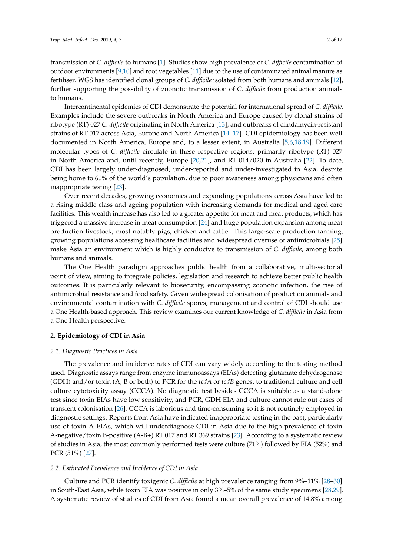transmission of *C. difficile* to humans [\[1\]](#page-6-0). Studies show high prevalence of *C. difficile* contamination of outdoor environments [\[9](#page-7-7)[,10\]](#page-7-8) and root vegetables [\[11\]](#page-7-9) due to the use of contaminated animal manure as fertiliser. WGS has identified clonal groups of *C. difficile* isolated from both humans and animals [\[12\]](#page-7-10), further supporting the possibility of zoonotic transmission of *C. difficile* from production animals to humans.

Intercontinental epidemics of CDI demonstrate the potential for international spread of *C. difficile*. Examples include the severe outbreaks in North America and Europe caused by clonal strains of ribotype (RT) 027 *C. difficile* originating in North America [\[13\]](#page-7-11), and outbreaks of clindamycin-resistant strains of RT 017 across Asia, Europe and North America [\[14–](#page-7-12)[17\]](#page-7-13). CDI epidemiology has been well documented in North America, Europe and, to a lesser extent, in Australia [\[5](#page-7-3)[,6](#page-7-4)[,18](#page-7-14)[,19\]](#page-7-15). Different molecular types of *C. difficile* circulate in these respective regions, primarily ribotype (RT) 027 in North America and, until recently, Europe [\[20,](#page-8-0)[21\]](#page-8-1), and RT 014/020 in Australia [\[22\]](#page-8-2). To date, CDI has been largely under-diagnosed, under-reported and under-investigated in Asia, despite being home to 60% of the world's population, due to poor awareness among physicians and often inappropriate testing [\[23\]](#page-8-3).

Over recent decades, growing economies and expanding populations across Asia have led to a rising middle class and ageing population with increasing demands for medical and aged care facilities. This wealth increase has also led to a greater appetite for meat and meat products, which has triggered a massive increase in meat consumption [\[24\]](#page-8-4) and huge population expansion among meat production livestock, most notably pigs, chicken and cattle. This large-scale production farming, growing populations accessing healthcare facilities and widespread overuse of antimicrobials [\[25\]](#page-8-5) make Asia an environment which is highly conducive to transmission of *C. difficile*, among both humans and animals.

The One Health paradigm approaches public health from a collaborative, multi-sectorial point of view, aiming to integrate policies, legislation and research to achieve better public health outcomes. It is particularly relevant to biosecurity, encompassing zoonotic infection, the rise of antimicrobial resistance and food safety. Given widespread colonisation of production animals and environmental contamination with *C. difficile* spores, management and control of CDI should use a One Health-based approach. This review examines our current knowledge of *C. difficile* in Asia from a One Health perspective.

#### **2. Epidemiology of CDI in Asia**

#### *2.1. Diagnostic Practices in Asia*

The prevalence and incidence rates of CDI can vary widely according to the testing method used. Diagnostic assays range from enzyme immunoassays (EIAs) detecting glutamate dehydrogenase (GDH) and/or toxin (A, B or both) to PCR for the *tcdA* or *tcdB* genes, to traditional culture and cell culture cytotoxicity assay (CCCA). No diagnostic test besides CCCA is suitable as a stand-alone test since toxin EIAs have low sensitivity, and PCR, GDH EIA and culture cannot rule out cases of transient colonisation [\[26\]](#page-8-6). CCCA is laborious and time-consuming so it is not routinely employed in diagnostic settings. Reports from Asia have indicated inappropriate testing in the past, particularly use of toxin A EIAs, which will underdiagnose CDI in Asia due to the high prevalence of toxin A-negative/toxin B-positive (A-B+) RT 017 and RT 369 strains [\[23\]](#page-8-3). According to a systematic review of studies in Asia, the most commonly performed tests were culture (71%) followed by EIA (52%) and PCR (51%) [\[27\]](#page-8-7).

#### *2.2. Estimated Prevalence and Incidence of CDI in Asia*

Culture and PCR identify toxigenic *C. difficile* at high prevalence ranging from 9%–11% [\[28](#page-8-8)[–30\]](#page-8-9) in South-East Asia, while toxin EIA was positive in only 3%–5% of the same study specimens [\[28,](#page-8-8)[29\]](#page-8-10). A systematic review of studies of CDI from Asia found a mean overall prevalence of 14.8% among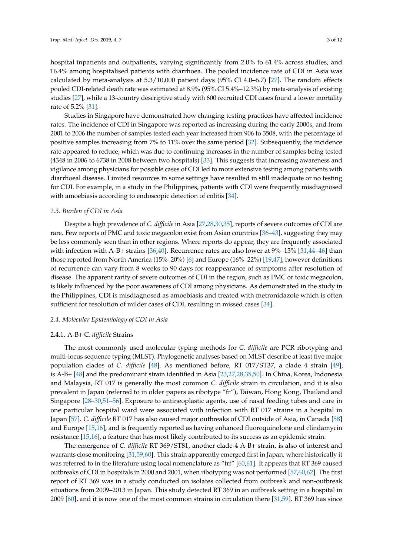hospital inpatients and outpatients, varying significantly from 2.0% to 61.4% across studies, and 16.4% among hospitalised patients with diarrhoea. The pooled incidence rate of CDI in Asia was calculated by meta-analysis at 5.3/10,000 patient days (95% CI 4.0–6.7) [\[27\]](#page-8-7). The random effects pooled CDI-related death rate was estimated at 8.9% (95% CI 5.4%–12.3%) by meta-analysis of existing studies [\[27\]](#page-8-7), while a 13-country descriptive study with 600 recruited CDI cases found a lower mortality rate of 5.2% [\[31\]](#page-8-11).

Studies in Singapore have demonstrated how changing testing practices have affected incidence rates. The incidence of CDI in Singapore was reported as increasing during the early 2000s, and from 2001 to 2006 the number of samples tested each year increased from 906 to 3508, with the percentage of positive samples increasing from 7% to 11% over the same period [\[32\]](#page-8-12). Subsequently, the incidence rate appeared to reduce, which was due to continuing increases in the number of samples being tested (4348 in 2006 to 6738 in 2008 between two hospitals) [\[33\]](#page-8-13). This suggests that increasing awareness and vigilance among physicians for possible cases of CDI led to more extensive testing among patients with diarrhoeal disease. Limited resources in some settings have resulted in still inadequate or no testing for CDI. For example, in a study in the Philippines, patients with CDI were frequently misdiagnosed with amoebiasis according to endoscopic detection of colitis [\[34\]](#page-8-14).

#### *2.3. Burden of CDI in Asia*

Despite a high prevalence of *C. difficile* in Asia [\[27,](#page-8-7)[28,](#page-8-8)[30](#page-8-9)[,35\]](#page-8-15), reports of severe outcomes of CDI are rare. Few reports of PMC and toxic megacolon exist from Asian countries [\[36–](#page-8-16)[43\]](#page-9-0), suggesting they may be less commonly seen than in other regions. Where reports do appear, they are frequently associated with infection with A-B+ strains [\[36,](#page-8-16)[40\]](#page-9-1). Recurrence rates are also lower at 9%–13% [\[31,](#page-8-11)[44–](#page-9-2)[46\]](#page-9-3) than those reported from North America (15%–20%) [\[6\]](#page-7-4) and Europe (16%–22%) [\[19,](#page-7-15)[47\]](#page-9-4), however definitions of recurrence can vary from 8 weeks to 90 days for reappearance of symptoms after resolution of disease. The apparent rarity of severe outcomes of CDI in the region, such as PMC or toxic megacolon, is likely influenced by the poor awareness of CDI among physicians. As demonstrated in the study in the Philippines, CDI is misdiagnosed as amoebiasis and treated with metronidazole which is often sufficient for resolution of milder cases of CDI, resulting in missed cases [\[34\]](#page-8-14).

#### *2.4. Molecular Epidemiology of CDI in Asia*

#### 2.4.1. A-B+ C. *difficile* Strains

The most commonly used molecular typing methods for *C. difficile* are PCR ribotyping and multi-locus sequence typing (MLST). Phylogenetic analyses based on MLST describe at least five major population clades of *C. difficile* [\[48\]](#page-9-5). As mentioned before, RT 017/ST37, a clade 4 strain [\[49\]](#page-9-6), is A-B+ [\[48\]](#page-9-5) and the predominant strain identified in Asia [\[23,](#page-8-3)[27,](#page-8-7)[28,](#page-8-8)[35](#page-8-15)[,50\]](#page-9-7). In China, Korea, Indonesia and Malaysia, RT 017 is generally the most common *C. difficile* strain in circulation, and it is also prevalent in Japan (referred to in older papers as ribotype "fr"), Taiwan, Hong Kong, Thailand and Singapore [\[28](#page-8-8)[–30,](#page-8-9)[51–](#page-9-8)[56\]](#page-9-9). Exposure to antineoplastic agents, use of nasal feeding tubes and care in one particular hospital ward were associated with infection with RT 017 strains in a hospital in Japan [\[57\]](#page-10-0). *C. difficile* RT 017 has also caused major outbreaks of CDI outside of Asia, in Canada [\[58\]](#page-10-1) and Europe [\[15,](#page-7-16)[16\]](#page-7-17), and is frequently reported as having enhanced fluoroquinolone and clindamycin resistance [\[15](#page-7-16)[,16\]](#page-7-17), a feature that has most likely contributed to its success as an epidemic strain.

The emergence of *C. difficile* RT 369/ST81, another clade 4 A-B+ strain, is also of interest and warrants close monitoring [\[31](#page-8-11)[,59](#page-10-2)[,60\]](#page-10-3). This strain apparently emerged first in Japan, where historically it was referred to in the literature using local nomenclature as "trf" [\[60](#page-10-3)[,61\]](#page-10-4). It appears that RT 369 caused outbreaks of CDI in hospitals in 2000 and 2001, when ribotyping was not performed [\[57,](#page-10-0)[60,](#page-10-3)[62\]](#page-10-5). The first report of RT 369 was in a study conducted on isolates collected from outbreak and non-outbreak situations from 2009–2013 in Japan. This study detected RT 369 in an outbreak setting in a hospital in 2009 [\[60\]](#page-10-3), and it is now one of the most common strains in circulation there [\[31](#page-8-11)[,59\]](#page-10-2). RT 369 has since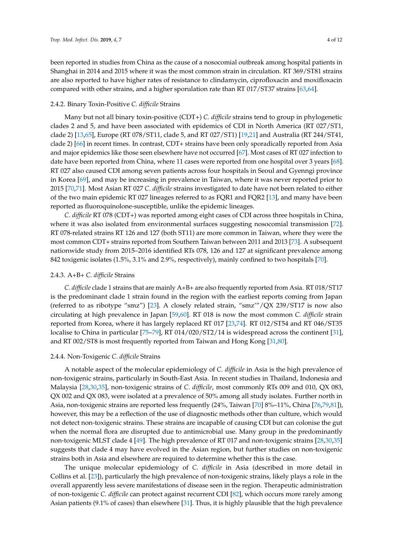been reported in studies from China as the cause of a nosocomial outbreak among hospital patients in Shanghai in 2014 and 2015 where it was the most common strain in circulation. RT 369/ST81 strains are also reported to have higher rates of resistance to clindamycin, ciprofloxacin and moxifloxacin compared with other strains, and a higher sporulation rate than RT 017/ST37 strains [\[63](#page-10-6)[,64\]](#page-10-7).

#### 2.4.2. Binary Toxin-Positive *C. difficile* Strains

Many but not all binary toxin-positive (CDT+) *C. difficile* strains tend to group in phylogenetic clades 2 and 5, and have been associated with epidemics of CDI in North America (RT 027/ST1, clade 2) [\[13,](#page-7-11)[65\]](#page-10-8), Europe (RT 078/ST11, clade 5, and RT 027/ST1) [\[19,](#page-7-15)[21\]](#page-8-1) and Australia (RT 244/ST41, clade 2) [\[66\]](#page-10-9) in recent times. In contrast, CDT+ strains have been only sporadically reported from Asia and major epidemics like those seen elsewhere have not occurred [\[67\]](#page-10-10). Most cases of RT 027 infection to date have been reported from China, where 11 cases were reported from one hospital over 3 years [\[68\]](#page-10-11). RT 027 also caused CDI among seven patients across four hospitals in Seoul and Gyenngi province in Korea [\[69\]](#page-10-12), and may be increasing in prevalence in Taiwan, where it was never reported prior to 2015 [\[70](#page-10-13)[,71\]](#page-10-14). Most Asian RT 027 *C. difficile* strains investigated to date have not been related to either of the two main epidemic RT 027 lineages referred to as FQR1 and FQR2 [\[13\]](#page-7-11), and many have been reported as fluoroquinolone-susceptible, unlike the epidemic lineages.

*C. difficile* RT 078 (CDT+) was reported among eight cases of CDI across three hospitals in China, where it was also isolated from environmental surfaces suggesting nosocomial transmission [\[72\]](#page-10-15). RT 078-related strains RT 126 and 127 (both ST11) are more common in Taiwan, where they were the most common CDT+ strains reported from Southern Taiwan between 2011 and 2013 [\[73\]](#page-10-16). A subsequent nationwide study from 2015–2016 identified RTs 078, 126 and 127 at significant prevalence among 842 toxigenic isolates (1.5%, 3.1% and 2.9%, respectively), mainly confined to two hospitals [\[70\]](#page-10-13).

#### 2.4.3. A+B+ *C. difficile* Strains

*C. difficile* clade 1 strains that are mainly A+B+ are also frequently reported from Asia. RT 018/ST17 is the predominant clade 1 strain found in the region with the earliest reports coming from Japan (referred to as ribotype "smz") [\[23\]](#page-8-3). A closely related strain, "smz'"/QX 239/ST17 is now also circulating at high prevalence in Japan [\[59](#page-10-2)[,60\]](#page-10-3). RT 018 is now the most common *C. difficile* strain reported from Korea, where it has largely replaced RT 017 [\[23,](#page-8-3)[74\]](#page-11-0). RT 012/ST54 and RT 046/ST35 localise to China in particular [\[75–](#page-11-1)[79\]](#page-11-2), RT 014/020/ST2/14 is widespread across the continent [\[31\]](#page-8-11), and RT 002/ST8 is most frequently reported from Taiwan and Hong Kong [\[31,](#page-8-11)[80\]](#page-11-3).

#### 2.4.4. Non-Toxigenic *C. difficile* Strains

A notable aspect of the molecular epidemiology of *C. difficile* in Asia is the high prevalence of non-toxigenic strains, particularly in South-East Asia. In recent studies in Thailand, Indonesia and Malaysia [\[28](#page-8-8)[,30](#page-8-9)[,35\]](#page-8-15), non-toxigenic strains of *C. difficile*, most commonly RTs 009 and 010, QX 083, QX 002 and QX 083, were isolated at a prevalence of 50% among all study isolates. Further north in Asia, non-toxigenic strains are reported less frequently (24%, Taiwan [\[70\]](#page-10-13) 8%–11%, China [\[76](#page-11-4)[,79](#page-11-2)[,81\]](#page-11-5)), however, this may be a reflection of the use of diagnostic methods other than culture, which would not detect non-toxigenic strains. These strains are incapable of causing CDI but can colonise the gut when the normal flora are disrupted due to antimicrobial use. Many group in the predominantly non-toxigenic MLST clade 4 [\[49\]](#page-9-6). The high prevalence of RT 017 and non-toxigenic strains [\[28](#page-8-8)[,30](#page-8-9)[,35\]](#page-8-15) suggests that clade 4 may have evolved in the Asian region, but further studies on non-toxigenic strains both in Asia and elsewhere are required to determine whether this is the case.

The unique molecular epidemiology of *C. difficile* in Asia (described in more detail in Collins et al. [\[23\]](#page-8-3)), particularly the high prevalence of non-toxigenic strains, likely plays a role in the overall apparently less severe manifestations of disease seen in the region. Therapeutic administration of non-toxigenic *C. difficile* can protect against recurrent CDI [\[82\]](#page-11-6), which occurs more rarely among Asian patients (9.1% of cases) than elsewhere [\[31\]](#page-8-11). Thus, it is highly plausible that the high prevalence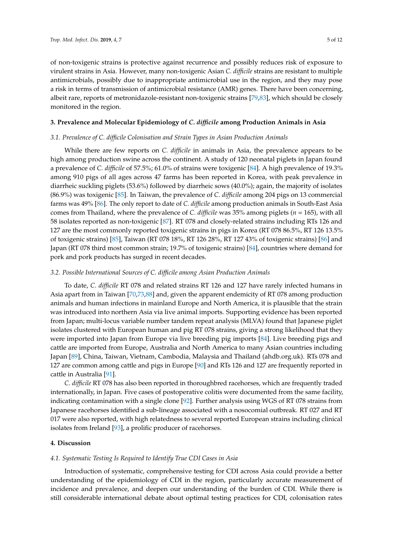of non-toxigenic strains is protective against recurrence and possibly reduces risk of exposure to virulent strains in Asia. However, many non-toxigenic Asian *C. difficile* strains are resistant to multiple antimicrobials, possibly due to inappropriate antimicrobial use in the region, and they may pose a risk in terms of transmission of antimicrobial resistance (AMR) genes. There have been concerning, albeit rare, reports of metronidazole-resistant non-toxigenic strains [\[79](#page-11-2)[,83\]](#page-11-7), which should be closely monitored in the region.

#### **3. Prevalence and Molecular Epidemiology of** *C. difficile* **among Production Animals in Asia**

#### *3.1. Prevalence of C. difficile Colonisation and Strain Types in Asian Production Animals*

While there are few reports on *C. difficile* in animals in Asia, the prevalence appears to be high among production swine across the continent. A study of 120 neonatal piglets in Japan found a prevalence of *C. difficile* of 57.5%; 61.0% of strains were toxigenic [\[84\]](#page-11-8). A high prevalence of 19.3% among 910 pigs of all ages across 47 farms has been reported in Korea, with peak prevalence in diarrheic suckling piglets (53.6%) followed by diarrheic sows (40.0%); again, the majority of isolates (86.9%) was toxigenic [\[85\]](#page-11-9). In Taiwan, the prevalence of *C. difficile* among 204 pigs on 13 commercial farms was 49% [\[86\]](#page-11-10). The only report to date of *C. difficile* among production animals in South-East Asia comes from Thailand, where the prevalence of *C. difficile* was 35% among piglets (*n* = 165), with all 58 isolates reported as non-toxigenic [\[87\]](#page-11-11). RT 078 and closely-related strains including RTs 126 and 127 are the most commonly reported toxigenic strains in pigs in Korea (RT 078 86.5%, RT 126 13.5% of toxigenic strains) [\[85\]](#page-11-9), Taiwan (RT 078 18%, RT 126 28%, RT 127 43% of toxigenic strains) [\[86\]](#page-11-10) and Japan (RT 078 third most common strain; 19.7% of toxigenic strains) [\[84\]](#page-11-8), countries where demand for pork and pork products has surged in recent decades.

#### *3.2. Possible International Sources of C. difficile among Asian Production Animals*

To date, *C. difficile* RT 078 and related strains RT 126 and 127 have rarely infected humans in Asia apart from in Taiwan [\[70](#page-10-13)[,73](#page-10-16)[,88\]](#page-11-12) and, given the apparent endemicity of RT 078 among production animals and human infections in mainland Europe and North America, it is plausible that the strain was introduced into northern Asia via live animal imports. Supporting evidence has been reported from Japan; multi-locus variable number tandem repeat analysis (MLVA) found that Japanese piglet isolates clustered with European human and pig RT 078 strains, giving a strong likelihood that they were imported into Japan from Europe via live breeding pig imports [\[84\]](#page-11-8). Live breeding pigs and cattle are imported from Europe, Australia and North America to many Asian countries including Japan [\[89\]](#page-11-13), China, Taiwan, Vietnam, Cambodia, Malaysia and Thailand (ahdb.org.uk). RTs 078 and 127 are common among cattle and pigs in Europe [\[90\]](#page-11-14) and RTs 126 and 127 are frequently reported in cattle in Australia [\[91\]](#page-11-15).

*C. difficile* RT 078 has also been reported in thoroughbred racehorses, which are frequently traded internationally, in Japan. Five cases of postoperative colitis were documented from the same facility, indicating contamination with a single clone [\[92\]](#page-12-0). Further analysis using WGS of RT 078 strains from Japanese racehorses identified a sub-lineage associated with a nosocomial outbreak. RT 027 and RT 017 were also reported, with high relatedness to several reported European strains including clinical isolates from Ireland [\[93\]](#page-12-1), a prolific producer of racehorses.

#### **4. Discussion**

#### *4.1. Systematic Testing Is Required to Identify True CDI Cases in Asia*

Introduction of systematic, comprehensive testing for CDI across Asia could provide a better understanding of the epidemiology of CDI in the region, particularly accurate measurement of incidence and prevalence, and deepen our understanding of the burden of CDI. While there is still considerable international debate about optimal testing practices for CDI, colonisation rates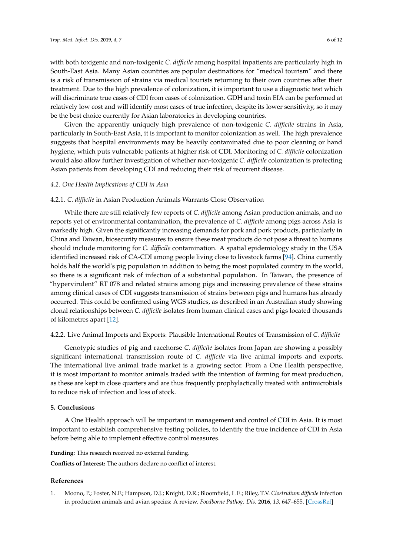with both toxigenic and non-toxigenic *C. difficile* among hospital inpatients are particularly high in South-East Asia. Many Asian countries are popular destinations for "medical tourism" and there is a risk of transmission of strains via medical tourists returning to their own countries after their treatment. Due to the high prevalence of colonization, it is important to use a diagnostic test which will discriminate true cases of CDI from cases of colonization. GDH and toxin EIA can be performed at relatively low cost and will identify most cases of true infection, despite its lower sensitivity, so it may be the best choice currently for Asian laboratories in developing countries.

Given the apparently uniquely high prevalence of non-toxigenic *C. difficile* strains in Asia, particularly in South-East Asia, it is important to monitor colonization as well. The high prevalence suggests that hospital environments may be heavily contaminated due to poor cleaning or hand hygiene, which puts vulnerable patients at higher risk of CDI. Monitoring of *C. difficile* colonization would also allow further investigation of whether non-toxigenic *C. difficile* colonization is protecting Asian patients from developing CDI and reducing their risk of recurrent disease.

#### *4.2. One Health Implications of CDI in Asia*

#### 4.2.1. *C. difficile* in Asian Production Animals Warrants Close Observation

While there are still relatively few reports of *C. difficile* among Asian production animals, and no reports yet of environmental contamination, the prevalence of *C. difficile* among pigs across Asia is markedly high. Given the significantly increasing demands for pork and pork products, particularly in China and Taiwan, biosecurity measures to ensure these meat products do not pose a threat to humans should include monitoring for *C. difficile* contamination. A spatial epidemiology study in the USA identified increased risk of CA-CDI among people living close to livestock farms [\[94\]](#page-12-2). China currently holds half the world's pig population in addition to being the most populated country in the world, so there is a significant risk of infection of a substantial population. In Taiwan, the presence of "hypervirulent" RT 078 and related strains among pigs and increasing prevalence of these strains among clinical cases of CDI suggests transmission of strains between pigs and humans has already occurred. This could be confirmed using WGS studies, as described in an Australian study showing clonal relationships between *C. difficile* isolates from human clinical cases and pigs located thousands of kilometres apart [\[12\]](#page-7-10).

## 4.2.2. Live Animal Imports and Exports: Plausible International Routes of Transmission of *C. difficile*

Genotypic studies of pig and racehorse *C. difficile* isolates from Japan are showing a possibly significant international transmission route of *C. difficile* via live animal imports and exports. The international live animal trade market is a growing sector. From a One Health perspective, it is most important to monitor animals traded with the intention of farming for meat production, as these are kept in close quarters and are thus frequently prophylactically treated with antimicrobials to reduce risk of infection and loss of stock.

## **5. Conclusions**

A One Health approach will be important in management and control of CDI in Asia. It is most important to establish comprehensive testing policies, to identify the true incidence of CDI in Asia before being able to implement effective control measures.

**Funding:** This research received no external funding.

**Conflicts of Interest:** The authors declare no conflict of interest.

#### **References**

<span id="page-6-0"></span>1. Moono, P.; Foster, N.F.; Hampson, D.J.; Knight, D.R.; Bloomfield, L.E.; Riley, T.V. *Clostridium difficile* infection in production animals and avian species: A review. *Foodborne Pathog. Dis.* **2016**, *13*, 647–655. [\[CrossRef\]](http://dx.doi.org/10.1089/fpd.2016.2181)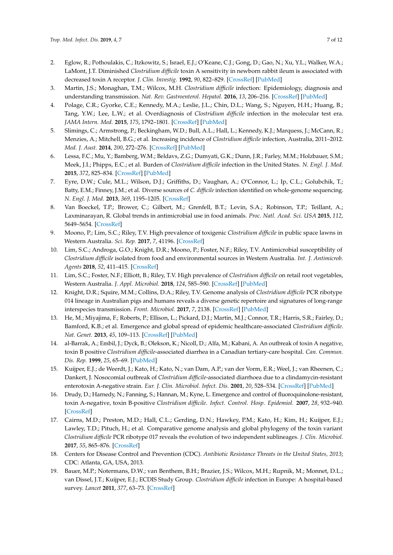- <span id="page-7-0"></span>2. Eglow, R.; Pothoulakis, C.; Itzkowitz, S.; Israel, E.J.; O'Keane, C.J.; Gong, D.; Gao, N.; Xu, Y.L.; Walker, W.A.; LaMont, J.T. Diminished *Clostridium difficile* toxin A sensitivity in newborn rabbit ileum is associated with decreased toxin A receptor. *J. Clin. Investig.* **1992**, *90*, 822–829. [\[CrossRef\]](http://dx.doi.org/10.1172/JCI115957) [\[PubMed\]](http://www.ncbi.nlm.nih.gov/pubmed/1325998)
- <span id="page-7-1"></span>3. Martin, J.S.; Monaghan, T.M.; Wilcox, M.H. *Clostridium difficile* infection: Epidemiology, diagnosis and understanding transmission. *Nat. Rev. Gastroenterol. Hepatol.* **2016**, *13*, 206–216. [\[CrossRef\]](http://dx.doi.org/10.1038/nrgastro.2016.25) [\[PubMed\]](http://www.ncbi.nlm.nih.gov/pubmed/26956066)
- <span id="page-7-2"></span>4. Polage, C.R.; Gyorke, C.E.; Kennedy, M.A.; Leslie, J.L.; Chin, D.L.; Wang, S.; Nguyen, H.H.; Huang, B.; Tang, Y.W.; Lee, L.W.; et al. Overdiagnosis of *Clostridium difficile* infection in the molecular test era. *JAMA Intern. Med.* **2015**, *175*, 1792–1801. [\[CrossRef\]](http://dx.doi.org/10.1001/jamainternmed.2015.4114) [\[PubMed\]](http://www.ncbi.nlm.nih.gov/pubmed/26348734)
- <span id="page-7-3"></span>5. Slimings, C.; Armstrong, P.; Beckingham, W.D.; Bull, A.L.; Hall, L.; Kennedy, K.J.; Marquess, J.; McCann, R.; Menzies, A.; Mitchell, B.G.; et al. Increasing incidence of *Clostridium difficile* infection, Australia, 2011–2012. *Med. J. Aust.* **2014**, *200*, 272–276. [\[CrossRef\]](http://dx.doi.org/10.5694/mja13.11153) [\[PubMed\]](http://www.ncbi.nlm.nih.gov/pubmed/24641152)
- <span id="page-7-4"></span>6. Lessa, F.C.; Mu, Y.; Bamberg, W.M.; Beldavs, Z.G.; Dumyati, G.K.; Dunn, J.R.; Farley, M.M.; Holzbauer, S.M.; Meek, J.I.; Phipps, E.C.; et al. Burden of *Clostridium difficile* infection in the United States. *N. Engl. J. Med.* **2015**, *372*, 825–834. [\[CrossRef\]](http://dx.doi.org/10.1056/NEJMoa1408913) [\[PubMed\]](http://www.ncbi.nlm.nih.gov/pubmed/25714160)
- <span id="page-7-5"></span>7. Eyre, D.W.; Cule, M.L.; Wilson, D.J.; Griffiths, D.; Vaughan, A.; O'Connor, L.; Ip, C.L.; Golubchik, T.; Batty, E.M.; Finney, J.M.; et al. Diverse sources of *C. difficile* infection identified on whole-genome sequencing. *N. Engl. J. Med.* **2013**, *369*, 1195–1205. [\[CrossRef\]](http://dx.doi.org/10.1056/NEJMoa1216064)
- <span id="page-7-6"></span>8. Van Boeckel, T.P.; Brower, C.; Gilbert, M.; Grenfell, B.T.; Levin, S.A.; Robinson, T.P.; Teillant, A.; Laxminarayan, R. Global trends in antimicrobial use in food animals. *Proc. Natl. Acad. Sci. USA* **2015**, *112*, 5649–5654. [\[CrossRef\]](http://dx.doi.org/10.1073/pnas.1503141112)
- <span id="page-7-7"></span>9. Moono, P.; Lim, S.C.; Riley, T.V. High prevalence of toxigenic *Clostridium difficile* in public space lawns in Western Australia. *Sci. Rep.* **2017**, *7*, 41196. [\[CrossRef\]](http://dx.doi.org/10.1038/srep41196)
- <span id="page-7-8"></span>10. Lim, S.C.; Androga, G.O.; Knight, D.R.; Moono, P.; Foster, N.F.; Riley, T.V. Antimicrobial susceptibility of *Clostridium difficile* isolated from food and environmental sources in Western Australia. *Int. J. Antimicrob. Agents* **2018**, *52*, 411–415. [\[CrossRef\]](http://dx.doi.org/10.1016/j.ijantimicag.2018.05.013)
- <span id="page-7-9"></span>11. Lim, S.C.; Foster, N.F.; Elliott, B.; Riley, T.V. High prevalence of *Clostridium difficile* on retail root vegetables, Western Australia. *J. Appl. Microbiol.* **2018**, *124*, 585–590. [\[CrossRef\]](http://dx.doi.org/10.1111/jam.13653) [\[PubMed\]](http://www.ncbi.nlm.nih.gov/pubmed/29193458)
- <span id="page-7-10"></span>12. Knight, D.R.; Squire, M.M.; Collins, D.A.; Riley, T.V. Genome analysis of *Clostridium difficile* PCR ribotype 014 lineage in Australian pigs and humans reveals a diverse genetic repertoire and signatures of long-range interspecies transmission. *Front. Microbiol.* **2017**, *7*, 2138. [\[CrossRef\]](http://dx.doi.org/10.3389/fmicb.2016.02138) [\[PubMed\]](http://www.ncbi.nlm.nih.gov/pubmed/28123380)
- <span id="page-7-11"></span>13. He, M.; Miyajima, F.; Roberts, P.; Ellison, L.; Pickard, D.J.; Martin, M.J.; Connor, T.R.; Harris, S.R.; Fairley, D.; Bamford, K.B.; et al. Emergence and global spread of epidemic healthcare-associated *Clostridium difficile*. *Nat. Genet.* **2013**, *45*, 109–113. [\[CrossRef\]](http://dx.doi.org/10.1038/ng.2478) [\[PubMed\]](http://www.ncbi.nlm.nih.gov/pubmed/23222960)
- <span id="page-7-12"></span>14. al-Barrak, A.; Embil, J.; Dyck, B.; Olekson, K.; Nicoll, D.; Alfa, M.; Kabani, A. An outbreak of toxin A negative, toxin B positive *Clostridium difficile*-associated diarrhea in a Canadian tertiary-care hospital. *Can. Commun. Dis. Rep.* **1999**, *25*, 65–69. [\[PubMed\]](http://www.ncbi.nlm.nih.gov/pubmed/10344088)
- <span id="page-7-16"></span>15. Kuijper, E.J.; de Weerdt, J.; Kato, H.; Kato, N.; van Dam, A.P.; van der Vorm, E.R.; Weel, J.; van Rheenen, C.; Dankert, J. Nosocomial outbreak of *Clostridium difficile*-associated diarrhoea due to a clindamycin-resistant enterotoxin A-negative strain. *Eur. J. Clin. Microbiol. Infect. Dis.* **2001**, *20*, 528–534. [\[CrossRef\]](http://dx.doi.org/10.1007/s100960100550) [\[PubMed\]](http://www.ncbi.nlm.nih.gov/pubmed/11681431)
- <span id="page-7-17"></span>16. Drudy, D.; Harnedy, N.; Fanning, S.; Hannan, M.; Kyne, L. Emergence and control of fluoroquinolone-resistant, toxin A-negative, toxin B-positive *Clostridium difficile*. *Infect. Control. Hosp. Epidemiol.* **2007**, *28*, 932–940. [\[CrossRef\]](http://dx.doi.org/10.1086/519181)
- <span id="page-7-13"></span>17. Cairns, M.D.; Preston, M.D.; Hall, C.L.; Gerding, D.N.; Hawkey, P.M.; Kato, H.; Kim, H.; Kuijper, E.J.; Lawley, T.D.; Pituch, H.; et al. Comparative genome analysis and global phylogeny of the toxin variant *Clostridium difficile* PCR ribotype 017 reveals the evolution of two independent sublineages. *J. Clin. Microbiol.* **2017**, *55*, 865–876. [\[CrossRef\]](http://dx.doi.org/10.1128/JCM.01296-16)
- <span id="page-7-14"></span>18. Centers for Disease Control and Prevention (CDC). *Antibiotic Resistance Threats in the United States, 2013*; CDC: Atlanta, GA, USA, 2013.
- <span id="page-7-15"></span>19. Bauer, M.P.; Notermans, D.W.; van Benthem, B.H.; Brazier, J.S.; Wilcox, M.H.; Rupnik, M.; Monnet, D.L.; van Dissel, J.T.; Kuijper, E.J.; ECDIS Study Group. *Clostridium difficile* infection in Europe: A hospital-based survey. *Lancet* **2011**, *377*, 63–73. [\[CrossRef\]](http://dx.doi.org/10.1016/S0140-6736(10)61266-4)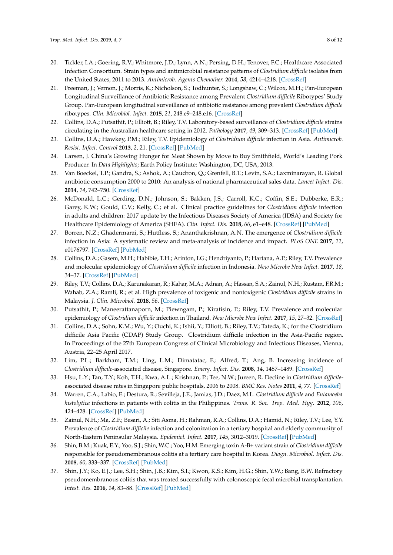- <span id="page-8-0"></span>20. Tickler, I.A.; Goering, R.V.; Whitmore, J.D.; Lynn, A.N.; Persing, D.H.; Tenover, F.C.; Healthcare Associated Infection Consortium. Strain types and antimicrobial resistance patterns of *Clostridium difficile* isolates from the United States, 2011 to 2013. *Antimicrob. Agents Chemother.* **2014**, *58*, 4214–4218. [\[CrossRef\]](http://dx.doi.org/10.1128/AAC.02775-13)
- <span id="page-8-1"></span>21. Freeman, J.; Vernon, J.; Morris, K.; Nicholson, S.; Todhunter, S.; Longshaw, C.; Wilcox, M.H.; Pan-European Longitudinal Surveillance of Antibiotic Resistance among Prevalent *Clostridium difficile* Ribotypes' Study Group. Pan-European longitudinal surveillance of antibiotic resistance among prevalent *Clostridium difficile* ribotypes. *Clin. Microbiol. Infect.* **2015**, *21*, 248.e9–248.e16. [\[CrossRef\]](http://dx.doi.org/10.1016/j.cmi.2014.09.017)
- <span id="page-8-2"></span>22. Collins, D.A.; Putsathit, P.; Elliott, B.; Riley, T.V. Laboratory-based surveillance of *Clostridium difficile* strains circulating in the Australian healthcare setting in 2012. *Pathology* **2017**, *49*, 309–313. [\[CrossRef\]](http://dx.doi.org/10.1016/j.pathol.2016.10.013) [\[PubMed\]](http://www.ncbi.nlm.nih.gov/pubmed/28237369)
- <span id="page-8-3"></span>23. Collins, D.A.; Hawkey, P.M.; Riley, T.V. Epidemiology of *Clostridium difficile* infection in Asia. *Antimicrob. Resist. Infect. Control* **2013**, *2*, 21. [\[CrossRef\]](http://dx.doi.org/10.1186/2047-2994-2-21) [\[PubMed\]](http://www.ncbi.nlm.nih.gov/pubmed/23816346)
- <span id="page-8-4"></span>24. Larsen, J. China's Growing Hunger for Meat Shown by Move to Buy Smithfield, World's Leading Pork Producer. In *Data Highlights*; Earth Policy Institute: Washington, DC, USA, 2013.
- <span id="page-8-5"></span>25. Van Boeckel, T.P.; Gandra, S.; Ashok, A.; Caudron, Q.; Grenfell, B.T.; Levin, S.A.; Laxminarayan, R. Global antibiotic consumption 2000 to 2010: An analysis of national pharmaceutical sales data. *Lancet Infect. Dis.* **2014**, *14*, 742–750. [\[CrossRef\]](http://dx.doi.org/10.1016/S1473-3099(14)70780-7)
- <span id="page-8-6"></span>26. McDonald, L.C.; Gerding, D.N.; Johnson, S.; Bakken, J.S.; Carroll, K.C.; Coffin, S.E.; Dubberke, E.R.; Garey, K.W.; Gould, C.V.; Kelly, C.; et al. Clinical practice guidelines for *Clostridium difficile* infection in adults and children: 2017 update by the Infectious Diseases Society of America (IDSA) and Society for Healthcare Epidemiology of America (SHEA). *Clin. Infect. Dis.* **2018**, *66*, e1–e48. [\[CrossRef\]](http://dx.doi.org/10.1093/cid/cix1085) [\[PubMed\]](http://www.ncbi.nlm.nih.gov/pubmed/29462280)
- <span id="page-8-7"></span>27. Borren, N.Z.; Ghadermarzi, S.; Hutfless, S.; Ananthakrishnan, A.N. The emergence of *Clostridium difficile* infection in Asia: A systematic review and meta-analysis of incidence and impact. *PLoS ONE* **2017**, *12*, e0176797. [\[CrossRef\]](http://dx.doi.org/10.1371/journal.pone.0176797) [\[PubMed\]](http://www.ncbi.nlm.nih.gov/pubmed/28463987)
- <span id="page-8-8"></span>28. Collins, D.A.; Gasem, M.H.; Habibie, T.H.; Arinton, I.G.; Hendriyanto, P.; Hartana, A.P.; Riley, T.V. Prevalence and molecular epidemiology of *Clostridium difficile* infection in Indonesia. *New Microbe New Infect.* **2017**, *18*, 34–37. [\[CrossRef\]](http://dx.doi.org/10.1016/j.nmni.2017.04.006) [\[PubMed\]](http://www.ncbi.nlm.nih.gov/pubmed/28603640)
- <span id="page-8-10"></span>29. Riley, T.V.; Collins, D.A.; Karunakaran, R.; Kahar, M.A.; Adnan, A.; Hassan, S.A.; Zainul, N.H.; Rustam, F.R.M.; Wahab, Z.A.; Ramli, R.; et al. High prevalence of toxigenic and nontoxigenic *Clostridium difficile* strains in Malaysia. *J. Clin. Microbiol.* **2018**, *56*. [\[CrossRef\]](http://dx.doi.org/10.1128/JCM.00170-18)
- <span id="page-8-9"></span>30. Putsathit, P.; Maneerattanaporn, M.; Piewngam, P.; Kiratisin, P.; Riley, T.V. Prevalence and molecular epidemiology of *Clostridium difficile* infection in Thailand. *New Microbe New Infect.* **2017**, *15*, 27–32. [\[CrossRef\]](http://dx.doi.org/10.1016/j.nmni.2016.10.004)
- <span id="page-8-11"></span>31. Collins, D.A.; Sohn, K.M.; Wu, Y.; Ouchi, K.; Ishii, Y.; Elliott, B.; Riley, T.V.; Tateda, K.; for the Clostridium difficile Asia Pacific (CDAP) Study Group. Clostridium difficile infection in the Asia-Pacific region. In Proceedings of the 27th European Congress of Clinical Microbiology and Infectious Diseases, Vienna, Austria, 22–25 April 2017.
- <span id="page-8-12"></span>32. Lim, P.L.; Barkham, T.M.; Ling, L.M.; Dimatatac, F.; Alfred, T.; Ang, B. Increasing incidence of *Clostridium difficile*-associated disease, Singapore. *Emerg. Infect. Dis.* **2008**, *14*, 1487–1489. [\[CrossRef\]](http://dx.doi.org/10.3201/eid1409.070043)
- <span id="page-8-13"></span>33. Hsu, L.Y.; Tan, T.Y.; Koh, T.H.; Kwa, A.L.; Krishnan, P.; Tee, N.W.; Jureen, R. Decline in *Clostridium difficile*associated disease rates in Singapore public hospitals, 2006 to 2008. *BMC Res. Notes* **2011**, *4*, 77. [\[CrossRef\]](http://dx.doi.org/10.1186/1756-0500-4-77)
- <span id="page-8-14"></span>34. Warren, C.A.; Labio, E.; Destura, R.; Sevilleja, J.E.; Jamias, J.D.; Daez, M.L. *Clostridium difficile* and *Entamoeba histolytica* infections in patients with colitis in the Philippines. *Trans. R. Soc. Trop. Med. Hyg.* **2012**, *106*, 424–428. [\[CrossRef\]](http://dx.doi.org/10.1016/j.trstmh.2012.04.005) [\[PubMed\]](http://www.ncbi.nlm.nih.gov/pubmed/22657531)
- <span id="page-8-15"></span>35. Zainul, N.H.; Ma, Z.F.; Besari, A.; Siti Asma, H.; Rahman, R.A.; Collins, D.A.; Hamid, N.; Riley, T.V.; Lee, Y.Y. Prevalence of *Clostridium difficile* infection and colonization in a tertiary hospital and elderly community of North-Eastern Peninsular Malaysia. *Epidemiol. Infect.* **2017**, *145*, 3012–3019. [\[CrossRef\]](http://dx.doi.org/10.1017/S0950268817002011) [\[PubMed\]](http://www.ncbi.nlm.nih.gov/pubmed/28891459)
- <span id="page-8-16"></span>36. Shin, B.M.; Kuak, E.Y.; Yoo, S.J.; Shin, W.C.; Yoo, H.M. Emerging toxin A-B+ variant strain of *Clostridium difficile* responsible for pseudomembranous colitis at a tertiary care hospital in Korea. *Diagn. Microbiol. Infect. Dis.* **2008**, *60*, 333–337. [\[CrossRef\]](http://dx.doi.org/10.1016/j.diagmicrobio.2007.10.022) [\[PubMed\]](http://www.ncbi.nlm.nih.gov/pubmed/18082994)
- 37. Shin, J.Y.; Ko, E.J.; Lee, S.H.; Shin, J.B.; Kim, S.I.; Kwon, K.S.; Kim, H.G.; Shin, Y.W.; Bang, B.W. Refractory pseudomembranous colitis that was treated successfully with colonoscopic fecal microbial transplantation. *Intest. Res.* **2016**, *14*, 83–88. [\[CrossRef\]](http://dx.doi.org/10.5217/ir.2016.14.1.83) [\[PubMed\]](http://www.ncbi.nlm.nih.gov/pubmed/26884739)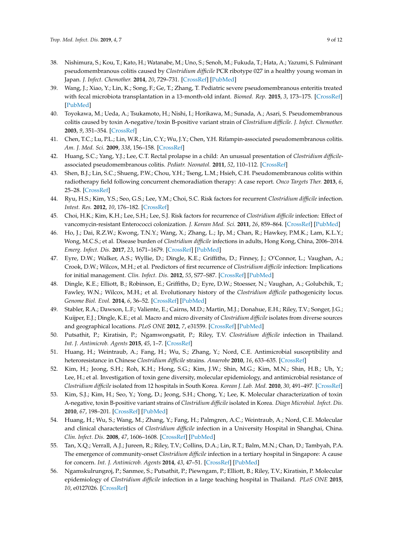- 38. Nishimura, S.; Kou, T.; Kato, H.; Watanabe, M.; Uno, S.; Senoh, M.; Fukuda, T.; Hata, A.; Yazumi, S. Fulminant pseudomembranous colitis caused by *Clostridium difficile* PCR ribotype 027 in a healthy young woman in Japan. *J. Infect. Chemother.* **2014**, *20*, 729–731. [\[CrossRef\]](http://dx.doi.org/10.1016/j.jiac.2014.07.004) [\[PubMed\]](http://www.ncbi.nlm.nih.gov/pubmed/25127156)
- 39. Wang, J.; Xiao, Y.; Lin, K.; Song, F.; Ge, T.; Zhang, T. Pediatric severe pseudomembranous enteritis treated with fecal microbiota transplantation in a 13-month-old infant. *Biomed. Rep.* **2015**, *3*, 173–175. [\[CrossRef\]](http://dx.doi.org/10.3892/br.2014.403) [\[PubMed\]](http://www.ncbi.nlm.nih.gov/pubmed/25798243)
- <span id="page-9-1"></span>40. Toyokawa, M.; Ueda, A.; Tsukamoto, H.; Nishi, I.; Horikawa, M.; Sunada, A.; Asari, S. Pseudomembranous colitis caused by toxin A-negative/toxin B-positive variant strain of *Clostridium difficile*. *J. Infect. Chemother.* **2003**, *9*, 351–354. [\[CrossRef\]](http://dx.doi.org/10.1007/s10156-003-0269-Z)
- 41. Chen, T.C.; Lu, P.L.; Lin, W.R.; Lin, C.Y.; Wu, J.Y.; Chen, Y.H. Rifampin-associated pseudomembranous colitis. *Am. J. Med. Sci.* **2009**, *338*, 156–158. [\[CrossRef\]](http://dx.doi.org/10.1097/MAJ.0b013e31819f1eec)
- 42. Huang, S.C.; Yang, Y.J.; Lee, C.T. Rectal prolapse in a child: An unusual presentation of *Clostridium difficile*associated pseudomembranous colitis. *Pediatr. Neonatol.* **2011**, *52*, 110–112. [\[CrossRef\]](http://dx.doi.org/10.1016/j.pedneo.2011.02.003)
- <span id="page-9-0"></span>43. Shen, B.J.; Lin, S.C.; Shueng, P.W.; Chou, Y.H.; Tseng, L.M.; Hsieh, C.H. Pseudomembranous colitis within radiotherapy field following concurrent chemoradiation therapy: A case report. *Onco Targets Ther.* **2013**, *6*, 25–28. [\[CrossRef\]](http://dx.doi.org/10.2147/ott.s40145)
- <span id="page-9-2"></span>44. Ryu, H.S.; Kim, Y.S.; Seo, G.S.; Lee, Y.M.; Choi, S.C. Risk factors for recurrent *Clostridium difficile* infection. *Intest. Res.* **2012**, *10*, 176–182. [\[CrossRef\]](http://dx.doi.org/10.5217/ir.2012.10.2.176)
- 45. Choi, H.K.; Kim, K.H.; Lee, S.H.; Lee, S.J. Risk factors for recurrence of *Clostridium difficile* infection: Effect of vancomycin-resistant Enterococci colonization. *J. Korean Med. Sci.* **2011**, *26*, 859–864. [\[CrossRef\]](http://dx.doi.org/10.3346/jkms.2011.26.7.859) [\[PubMed\]](http://www.ncbi.nlm.nih.gov/pubmed/21738336)
- <span id="page-9-3"></span>46. Ho, J.; Dai, R.Z.W.; Kwong, T.N.Y.; Wang, X.; Zhang, L.; Ip, M.; Chan, R.; Hawkey, P.M.K.; Lam, K.L.Y.; Wong, M.C.S.; et al. Disease burden of *Clostridium difficile* infections in adults, Hong Kong, China, 2006–2014. *Emerg. Infect. Dis.* **2017**, *23*, 1671–1679. [\[CrossRef\]](http://dx.doi.org/10.3201/eid2310.170797) [\[PubMed\]](http://www.ncbi.nlm.nih.gov/pubmed/28930010)
- <span id="page-9-4"></span>47. Eyre, D.W.; Walker, A.S.; Wyllie, D.; Dingle, K.E.; Griffiths, D.; Finney, J.; O'Connor, L.; Vaughan, A.; Crook, D.W.; Wilcox, M.H.; et al. Predictors of first recurrence of *Clostridium difficile* infection: Implications for initial management. *Clin. Infect. Dis.* **2012**, *55*, S77–S87. [\[CrossRef\]](http://dx.doi.org/10.1093/cid/cis356) [\[PubMed\]](http://www.ncbi.nlm.nih.gov/pubmed/22752869)
- <span id="page-9-5"></span>48. Dingle, K.E.; Elliott, B.; Robinson, E.; Griffiths, D.; Eyre, D.W.; Stoesser, N.; Vaughan, A.; Golubchik, T.; Fawley, W.N.; Wilcox, M.H.; et al. Evolutionary history of the *Clostridium difficile* pathogenicity locus. *Genome Biol. Evol.* **2014**, *6*, 36–52. [\[CrossRef\]](http://dx.doi.org/10.1093/gbe/evt204) [\[PubMed\]](http://www.ncbi.nlm.nih.gov/pubmed/24336451)
- <span id="page-9-6"></span>49. Stabler, R.A.; Dawson, L.F.; Valiente, E.; Cairns, M.D.; Martin, M.J.; Donahue, E.H.; Riley, T.V.; Songer, J.G.; Kuijper, E.J.; Dingle, K.E.; et al. Macro and micro diversity of *Clostridium difficile* isolates from diverse sources and geographical locations. *PLoS ONE* **2012**, *7*, e31559. [\[CrossRef\]](http://dx.doi.org/10.1371/journal.pone.0031559) [\[PubMed\]](http://www.ncbi.nlm.nih.gov/pubmed/22396735)
- <span id="page-9-7"></span>50. Putsathit, P.; Kiratisin, P.; Ngamwongsatit, P.; Riley, T.V. *Clostridium difficile* infection in Thailand. *Int. J. Antimicrob. Agents* **2015**, *45*, 1–7. [\[CrossRef\]](http://dx.doi.org/10.1016/j.ijantimicag.2014.09.005)
- <span id="page-9-8"></span>51. Huang, H.; Weintraub, A.; Fang, H.; Wu, S.; Zhang, Y.; Nord, C.E. Antimicrobial susceptibility and heteroresistance in Chinese *Clostridium difficile* strains. *Anaerobe* **2010**, *16*, 633–635. [\[CrossRef\]](http://dx.doi.org/10.1016/j.anaerobe.2010.09.002)
- 52. Kim, H.; Jeong, S.H.; Roh, K.H.; Hong, S.G.; Kim, J.W.; Shin, M.G.; Kim, M.N.; Shin, H.B.; Uh, Y.; Lee, H.; et al. Investigation of toxin gene diversity, molecular epidemiology, and antimicrobial resistance of *Clostridium difficile* isolated from 12 hospitals in South Korea. *Korean J. Lab. Med.* **2010**, *30*, 491–497. [\[CrossRef\]](http://dx.doi.org/10.3343/kjlm.2010.30.5.491)
- 53. Kim, S.J.; Kim, H.; Seo, Y.; Yong, D.; Jeong, S.H.; Chong, Y.; Lee, K. Molecular characterization of toxin A-negative, toxin B-positive variant strains of *Clostridium difficile* isolated in Korea. *Diagn Microbiol. Infect. Dis.* **2010**, *67*, 198–201. [\[CrossRef\]](http://dx.doi.org/10.1016/j.diagmicrobio.2010.01.007) [\[PubMed\]](http://www.ncbi.nlm.nih.gov/pubmed/20338708)
- 54. Huang, H.; Wu, S.; Wang, M.; Zhang, Y.; Fang, H.; Palmgren, A.C.; Weintraub, A.; Nord, C.E. Molecular and clinical characteristics of *Clostridium difficile* infection in a University Hospital in Shanghai, China. *Clin. Infect. Dis.* **2008**, *47*, 1606–1608. [\[CrossRef\]](http://dx.doi.org/10.1086/593365) [\[PubMed\]](http://www.ncbi.nlm.nih.gov/pubmed/19025371)
- 55. Tan, X.Q.; Verrall, A.J.; Jureen, R.; Riley, T.V.; Collins, D.A.; Lin, R.T.; Balm, M.N.; Chan, D.; Tambyah, P.A. The emergence of community-onset *Clostridium difficile* infection in a tertiary hospital in Singapore: A cause for concern. *Int. J. Antimicrob. Agents* **2014**, *43*, 47–51. [\[CrossRef\]](http://dx.doi.org/10.1016/j.ijantimicag.2013.09.011) [\[PubMed\]](http://www.ncbi.nlm.nih.gov/pubmed/24290727)
- <span id="page-9-9"></span>56. Ngamskulrungroj, P.; Sanmee, S.; Putsathit, P.; Piewngam, P.; Elliott, B.; Riley, T.V.; Kiratisin, P. Molecular epidemiology of *Clostridium difficile* infection in a large teaching hospital in Thailand. *PLoS ONE* **2015**, *10*, e0127026. [\[CrossRef\]](http://dx.doi.org/10.1371/journal.pone.0127026)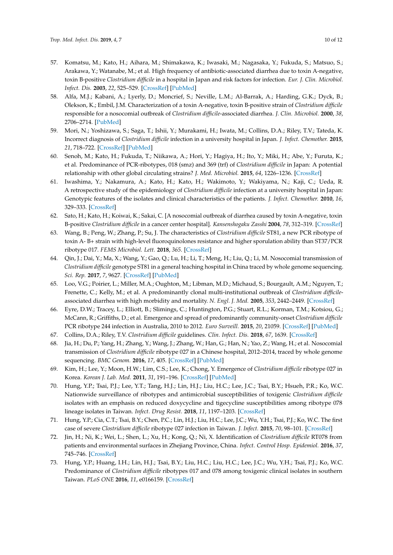- <span id="page-10-0"></span>57. Komatsu, M.; Kato, H.; Aihara, M.; Shimakawa, K.; Iwasaki, M.; Nagasaka, Y.; Fukuda, S.; Matsuo, S.; Arakawa, Y.; Watanabe, M.; et al. High frequency of antibiotic-associated diarrhea due to toxin A-negative, toxin B-positive *Clostridium difficile* in a hospital in Japan and risk factors for infection. *Eur. J. Clin. Microbiol. Infect. Dis.* **2003**, *22*, 525–529. [\[CrossRef\]](http://dx.doi.org/10.1007/s10096-003-0992-5) [\[PubMed\]](http://www.ncbi.nlm.nih.gov/pubmed/12938013)
- <span id="page-10-1"></span>58. Alfa, M.J.; Kabani, A.; Lyerly, D.; Moncrief, S.; Neville, L.M.; Al-Barrak, A.; Harding, G.K.; Dyck, B.; Olekson, K.; Embil, J.M. Characterization of a toxin A-negative, toxin B-positive strain of *Clostridium difficile* responsible for a nosocomial outbreak of *Clostridium difficile*-associated diarrhea. *J. Clin. Microbiol.* **2000**, *38*, 2706–2714. [\[PubMed\]](http://www.ncbi.nlm.nih.gov/pubmed/10878068)
- <span id="page-10-2"></span>59. Mori, N.; Yoshizawa, S.; Saga, T.; Ishii, Y.; Murakami, H.; Iwata, M.; Collins, D.A.; Riley, T.V.; Tateda, K. Incorrect diagnosis of *Clostridium difficile* infection in a university hospital in Japan. *J. Infect. Chemother.* **2015**, *21*, 718–722. [\[CrossRef\]](http://dx.doi.org/10.1016/j.jiac.2015.06.009) [\[PubMed\]](http://www.ncbi.nlm.nih.gov/pubmed/26238001)
- <span id="page-10-3"></span>60. Senoh, M.; Kato, H.; Fukuda, T.; Niikawa, A.; Hori, Y.; Hagiya, H.; Ito, Y.; Miki, H.; Abe, Y.; Furuta, K.; et al. Predominance of PCR-ribotypes, 018 (smz) and 369 (trf) of *Clostridium difficile* in Japan: A potential relationship with other global circulating strains? *J. Med. Microbiol.* **2015**, *64*, 1226–1236. [\[CrossRef\]](http://dx.doi.org/10.1099/jmm.0.000149)
- <span id="page-10-4"></span>61. Iwashima, Y.; Nakamura, A.; Kato, H.; Kato, H.; Wakimoto, Y.; Wakiyama, N.; Kaji, C.; Ueda, R. A retrospective study of the epidemiology of *Clostridium difficile* infection at a university hospital in Japan: Genotypic features of the isolates and clinical characteristics of the patients. *J. Infect. Chemother.* **2010**, *16*, 329–333. [\[CrossRef\]](http://dx.doi.org/10.1007/s10156-010-0066-4)
- <span id="page-10-5"></span>62. Sato, H.; Kato, H.; Koiwai, K.; Sakai, C. [A nosocomial outbreak of diarrhea caused by toxin A-negative, toxin B-positive *Clostridium difficile* in a cancer center hospital]. *Kansenshogaku Zasshi* **2004**, *78*, 312–319. [\[CrossRef\]](http://dx.doi.org/10.11150/kansenshogakuzasshi1970.78.312)
- <span id="page-10-6"></span>63. Wang, B.; Peng, W.; Zhang, P.; Su, J. The characteristics of *Clostridium difficile* ST81, a new PCR ribotype of toxin A- B+ strain with high-level fluoroquinolones resistance and higher sporulation ability than ST37/PCR ribotype 017. *FEMS Microbiol. Lett.* **2018**, *365*. [\[CrossRef\]](http://dx.doi.org/10.1093/femsle/fny168)
- <span id="page-10-7"></span>64. Qin, J.; Dai, Y.; Ma, X.; Wang, Y.; Gao, Q.; Lu, H.; Li, T.; Meng, H.; Liu, Q.; Li, M. Nosocomial transmission of *Clostridium difficile* genotype ST81 in a general teaching hospital in China traced by whole genome sequencing. *Sci. Rep.* **2017**, *7*, 9627. [\[CrossRef\]](http://dx.doi.org/10.1038/s41598-017-09878-8) [\[PubMed\]](http://www.ncbi.nlm.nih.gov/pubmed/28851988)
- <span id="page-10-8"></span>65. Loo, V.G.; Poirier, L.; Miller, M.A.; Oughton, M.; Libman, M.D.; Michaud, S.; Bourgault, A.M.; Nguyen, T.; Frenette, C.; Kelly, M.; et al. A predominantly clonal multi-institutional outbreak of *Clostridium difficile*associated diarrhea with high morbidity and mortality. *N. Engl. J. Med.* **2005**, *353*, 2442–2449. [\[CrossRef\]](http://dx.doi.org/10.1056/NEJMoa051639)
- <span id="page-10-9"></span>66. Eyre, D.W.; Tracey, L.; Elliott, B.; Slimings, C.; Huntington, P.G.; Stuart, R.L.; Korman, T.M.; Kotsiou, G.; McCann, R.; Griffiths, D.; et al. Emergence and spread of predominantly community-onset *Clostridium difficile* PCR ribotype 244 infection in Australia, 2010 to 2012. *Euro Surveill.* **2015**, *20*, 21059. [\[CrossRef\]](http://dx.doi.org/10.2807/1560-7917.ES2015.20.10.21059) [\[PubMed\]](http://www.ncbi.nlm.nih.gov/pubmed/25788254)
- <span id="page-10-10"></span>67. Collins, D.A.; Riley, T.V. *Clostridium difficile* guidelines. *Clin. Infect. Dis.* **2018**, *67*, 1639. [\[CrossRef\]](http://dx.doi.org/10.1093/cid/ciy249)
- <span id="page-10-11"></span>68. Jia, H.; Du, P.; Yang, H.; Zhang, Y.; Wang, J.; Zhang, W.; Han, G.; Han, N.; Yao, Z.; Wang, H.; et al. Nosocomial transmission of *Clostridium difficile* ribotype 027 in a Chinese hospital, 2012–2014, traced by whole genome sequencing. *BMC Genom.* **2016**, *17*, 405. [\[CrossRef\]](http://dx.doi.org/10.1186/s12864-016-2708-0) [\[PubMed\]](http://www.ncbi.nlm.nih.gov/pubmed/27411304)
- <span id="page-10-12"></span>69. Kim, H.; Lee, Y.; Moon, H.W.; Lim, C.S.; Lee, K.; Chong, Y. Emergence of *Clostridium difficile* ribotype 027 in Korea. *Korean J. Lab. Med.* **2011**, *31*, 191–196. [\[CrossRef\]](http://dx.doi.org/10.3343/kjlm.2011.31.3.191) [\[PubMed\]](http://www.ncbi.nlm.nih.gov/pubmed/21779194)
- <span id="page-10-13"></span>70. Hung, Y.P.; Tsai, P.J.; Lee, Y.T.; Tang, H.J.; Lin, H.J.; Liu, H.C.; Lee, J.C.; Tsai, B.Y.; Hsueh, P.R.; Ko, W.C. Nationwide surveillance of ribotypes and antimicrobial susceptibilities of toxigenic *Clostridium difficile* isolates with an emphasis on reduced doxycycline and tigecycline susceptibilities among ribotype 078 lineage isolates in Taiwan. *Infect. Drug Resist.* **2018**, *11*, 1197–1203. [\[CrossRef\]](http://dx.doi.org/10.2147/IDR.S162874)
- <span id="page-10-14"></span>71. Hung, Y.P.; Cia, C.T.; Tsai, B.Y.; Chen, P.C.; Lin, H.J.; Liu, H.C.; Lee, J.C.; Wu, Y.H.; Tsai, P.J.; Ko, W.C. The first case of severe *Clostridium difficile* ribotype 027 infection in Taiwan. *J. Infect.* **2015**, *70*, 98–101. [\[CrossRef\]](http://dx.doi.org/10.1016/j.jinf.2014.08.003)
- <span id="page-10-15"></span>72. Jin, H.; Ni, K.; Wei, L.; Shen, L.; Xu, H.; Kong, Q.; Ni, X. Identification of *Clostridium difficile* RT078 from patients and environmental surfaces in Zhejiang Province, China. *Infect. Control Hosp. Epidemiol.* **2016**, *37*, 745–746. [\[CrossRef\]](http://dx.doi.org/10.1017/ice.2016.58)
- <span id="page-10-16"></span>73. Hung, Y.P.; Huang, I.H.; Lin, H.J.; Tsai, B.Y.; Liu, H.C.; Liu, H.C.; Lee, J.C.; Wu, Y.H.; Tsai, P.J.; Ko, W.C. Predominance of *Clostridium difficile* ribotypes 017 and 078 among toxigenic clinical isolates in southern Taiwan. *PLoS ONE* **2016**, *11*, e0166159. [\[CrossRef\]](http://dx.doi.org/10.1371/journal.pone.0166159)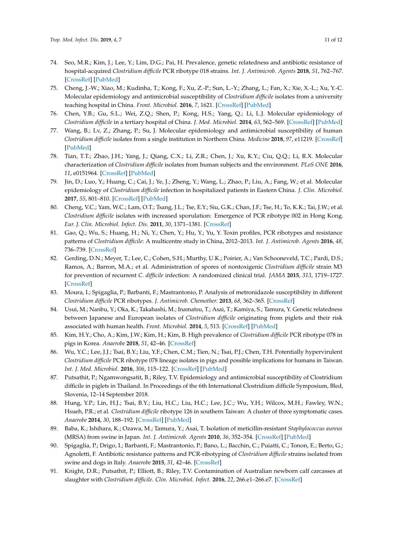- <span id="page-11-0"></span>74. Seo, M.R.; Kim, J.; Lee, Y.; Lim, D.G.; Pai, H. Prevalence, genetic relatedness and antibiotic resistance of hospital-acquired *Clostridium difficile* PCR ribotype 018 strains. *Int. J. Antimicrob. Agents* **2018**, *51*, 762–767. [\[CrossRef\]](http://dx.doi.org/10.1016/j.ijantimicag.2018.01.025) [\[PubMed\]](http://www.ncbi.nlm.nih.gov/pubmed/29408226)
- <span id="page-11-1"></span>75. Cheng, J.-W.; Xiao, M.; Kudinha, T.; Kong, F.; Xu, Z.-P.; Sun, L.-Y.; Zhang, L.; Fan, X.; Xie, X.-L.; Xu, Y.-C. Molecular epidemiology and antimicrobial susceptibility of *Clostridium difficile* isolates from a university teaching hospital in China. *Front. Microbiol.* **2016**, *7*, 1621. [\[CrossRef\]](http://dx.doi.org/10.3389/fmicb.2016.01621) [\[PubMed\]](http://www.ncbi.nlm.nih.gov/pubmed/27799923)
- <span id="page-11-4"></span>76. Chen, Y.B.; Gu, S.L.; Wei, Z.Q.; Shen, P.; Kong, H.S.; Yang, Q.; Li, L.J. Molecular epidemiology of *Clostridium difficile* in a tertiary hospital of China. *J. Med. Microbiol.* **2014**, *63*, 562–569. [\[CrossRef\]](http://dx.doi.org/10.1099/jmm.0.068668-0) [\[PubMed\]](http://www.ncbi.nlm.nih.gov/pubmed/24344206)
- 77. Wang, B.; Lv, Z.; Zhang, P.; Su, J. Molecular epidemiology and antimicrobial susceptibility of human *Clostridium difficile* isolates from a single institution in Northern China. *Medicine* **2018**, *97*, e11219. [\[CrossRef\]](http://dx.doi.org/10.1097/MD.0000000000011219) [\[PubMed\]](http://www.ncbi.nlm.nih.gov/pubmed/29924052)
- 78. Tian, T.T.; Zhao, J.H.; Yang, J.; Qiang, C.X.; Li, Z.R.; Chen, J.; Xu, K.Y.; Ciu, Q.Q.; Li, R.X. Molecular characterization of *Clostridium difficile* isolates from human subjects and the environment. *PLoS ONE* **2016**, *11*, e0151964. [\[CrossRef\]](http://dx.doi.org/10.1371/journal.pone.0151964) [\[PubMed\]](http://www.ncbi.nlm.nih.gov/pubmed/27011211)
- <span id="page-11-2"></span>79. Jin, D.; Luo, Y.; Huang, C.; Cai, J.; Ye, J.; Zheng, Y.; Wang, L.; Zhao, P.; Liu, A.; Fang, W.; et al. Molecular epidemiology of *Clostridium difficile* infection in hospitalized patients in Eastern China. *J. Clin. Microbiol.* **2017**, *55*, 801–810. [\[CrossRef\]](http://dx.doi.org/10.1128/JCM.01898-16) [\[PubMed\]](http://www.ncbi.nlm.nih.gov/pubmed/27974547)
- <span id="page-11-3"></span>80. Cheng, V.C.; Yam, W.C.; Lam, O.T.; Tsang, J.L.; Tse, E.Y.; Siu, G.K.; Chan, J.F.; Tse, H.; To, K.K.; Tai, J.W.; et al. *Clostridium difficile* isolates with increased sporulation: Emergence of PCR ribotype 002 in Hong Kong. *Eur. J. Clin. Microbiol. Infect. Dis.* **2011**, *30*, 1371–1381. [\[CrossRef\]](http://dx.doi.org/10.1007/s10096-011-1231-0)
- <span id="page-11-5"></span>81. Gao, Q.; Wu, S.; Huang, H.; Ni, Y.; Chen, Y.; Hu, Y.; Yu, Y. Toxin profiles, PCR ribotypes and resistance patterns of *Clostridium difficile*: A multicentre study in China, 2012–2013. *Int. J. Antimicrob. Agents* **2016**, *48*, 736–739. [\[CrossRef\]](http://dx.doi.org/10.1016/j.ijantimicag.2016.09.009)
- <span id="page-11-6"></span>82. Gerding, D.N.; Meyer, T.; Lee, C.; Cohen, S.H.; Murthy, U.K.; Poirier, A.; Van Schooneveld, T.C.; Pardi, D.S.; Ramos, A.; Barron, M.A.; et al. Administration of spores of nontoxigenic *Clostridium difficile* strain M3 for prevention of recurrent *C. difficile* infection: A randomized clinical trial. *JAMA* **2015**, *313*, 1719–1727. [\[CrossRef\]](http://dx.doi.org/10.1001/jama.2015.3725)
- <span id="page-11-7"></span>83. Moura, I.; Spigaglia, P.; Barbanti, F.; Mastrantonio, P. Analysis of metronidazole susceptibility in different *Clostridium difficile* PCR ribotypes. *J. Antimicrob. Chemother.* **2013**, *68*, 362–365. [\[CrossRef\]](http://dx.doi.org/10.1093/jac/dks420)
- <span id="page-11-8"></span>84. Usui, M.; Nanbu, Y.; Oka, K.; Takahashi, M.; Inamatsu, T.; Asai, T.; Kamiya, S.; Tamura, Y. Genetic relatedness between Japanese and European isolates of *Clostridium difficile* originating from piglets and their risk associated with human health. *Front. Microbiol.* **2014**, *5*, 513. [\[CrossRef\]](http://dx.doi.org/10.3389/fmicb.2014.00513) [\[PubMed\]](http://www.ncbi.nlm.nih.gov/pubmed/25339943)
- <span id="page-11-9"></span>85. Kim, H.Y.; Cho, A.; Kim, J.W.; Kim, H.; Kim, B. High prevalence of *Clostridium difficile* PCR ribotype 078 in pigs in Korea. *Anaerobe* **2018**, *51*, 42–46. [\[CrossRef\]](http://dx.doi.org/10.1016/j.anaerobe.2018.03.012)
- <span id="page-11-10"></span>86. Wu, Y.C.; Lee, J.J.; Tsai, B.Y.; Liu, Y.F.; Chen, C.M.; Tien, N.; Tsai, P.J.; Chen, T.H. Potentially hypervirulent *Clostridium difficile* PCR ribotype 078 lineage isolates in pigs and possible implications for humans in Taiwan. *Int. J. Med. Microbiol.* **2016**, *306*, 115–122. [\[CrossRef\]](http://dx.doi.org/10.1016/j.ijmm.2016.02.002) [\[PubMed\]](http://www.ncbi.nlm.nih.gov/pubmed/26915500)
- <span id="page-11-11"></span>87. Putsathit, P.; Ngamwongsatit, B.; Riley, T.V. Epidemiology and antimicrobial susceptibility of Clostridium difficile in piglets in Thailand. In Proceedings of the 6th International Clostridium difficile Symposium, Bled, Slovenia, 12–14 September 2018.
- <span id="page-11-12"></span>88. Hung, Y.P.; Lin, H.J.; Tsai, B.Y.; Liu, H.C.; Liu, H.C.; Lee, J.C.; Wu, Y.H.; Wilcox, M.H.; Fawley, W.N.; Hsueh, P.R.; et al. *Clostridium difficile* ribotype 126 in southern Taiwan: A cluster of three symptomatic cases. *Anaerobe* **2014**, *30*, 188–192. [\[CrossRef\]](http://dx.doi.org/10.1016/j.anaerobe.2014.06.005) [\[PubMed\]](http://www.ncbi.nlm.nih.gov/pubmed/24956433)
- <span id="page-11-13"></span>89. Baba, K.; Ishihara, K.; Ozawa, M.; Tamura, Y.; Asai, T. Isolation of meticillin-resistant *Staphylococcus aureus* (MRSA) from swine in Japan. *Int. J. Antimicrob. Agents* **2010**, *36*, 352–354. [\[CrossRef\]](http://dx.doi.org/10.1016/j.ijantimicag.2010.06.040) [\[PubMed\]](http://www.ncbi.nlm.nih.gov/pubmed/20692816)
- <span id="page-11-14"></span>90. Spigaglia, P.; Drigo, I.; Barbanti, F.; Mastrantonio, P.; Bano, L.; Bacchin, C.; Puiatti, C.; Tonon, E.; Berto, G.; Agnoletti, F. Antibiotic resistance patterns and PCR-ribotyping of *Clostridium difficile* strains isolated from swine and dogs in Italy. *Anaerobe* **2015**, *31*, 42–46. [\[CrossRef\]](http://dx.doi.org/10.1016/j.anaerobe.2014.10.003)
- <span id="page-11-15"></span>91. Knight, D.R.; Putsathit, P.; Elliott, B.; Riley, T.V. Contamination of Australian newborn calf carcasses at slaughter with *Clostridium difficile*. *Clin. Microbiol. Infect.* **2016**, *22*, 266.e1–266.e7. [\[CrossRef\]](http://dx.doi.org/10.1016/j.cmi.2015.11.017)